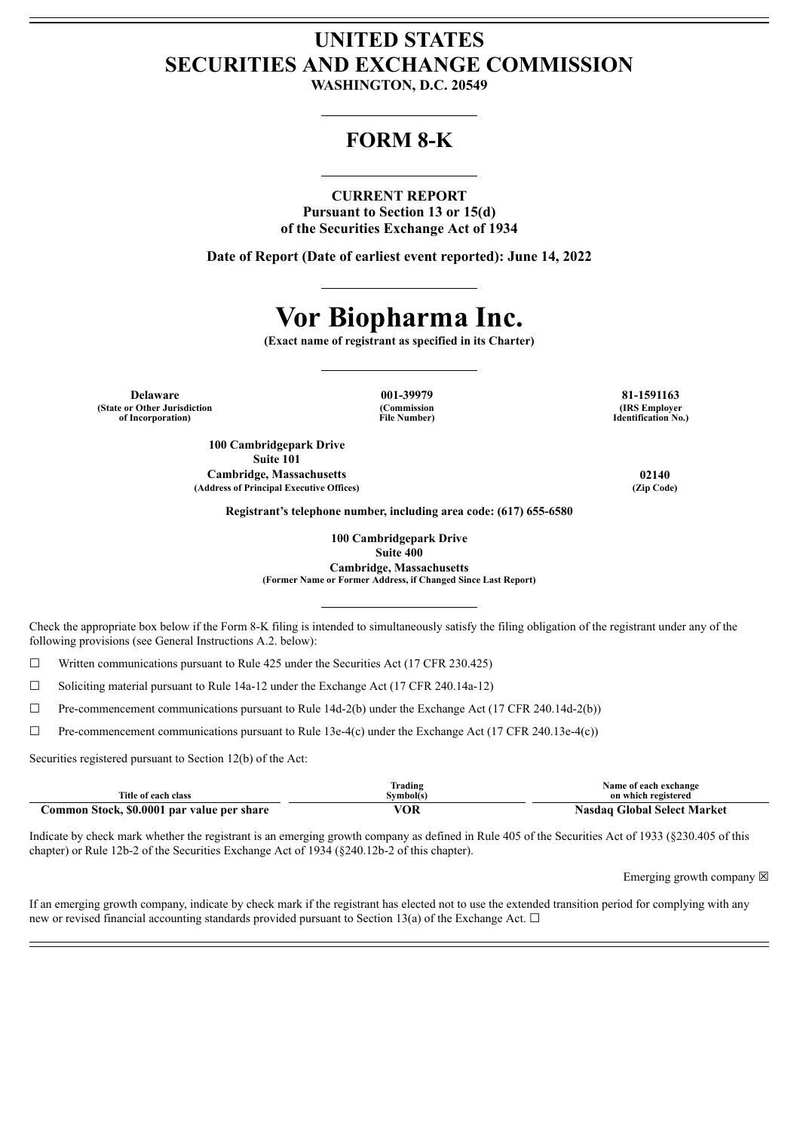## **UNITED STATES SECURITIES AND EXCHANGE COMMISSION**

**WASHINGTON, D.C. 20549**

### **FORM 8-K**

#### **CURRENT REPORT**

**Pursuant to Section 13 or 15(d) of the Securities Exchange Act of 1934**

**Date of Report (Date of earliest event reported): June 14, 2022**

# **Vor Biopharma Inc.**

**(Exact name of registrant as specified in its Charter)**

**Delaware 001-39979 81-1591163 (State or Other Jurisdiction of Incorporation)**

**(Commission File Number)**

**(IRS Employer Identification No.)**

**100 Cambridgepark Drive Suite 101 Cambridge, Massachusetts 02140 (Address of Principal Executive Offices) (Zip Code)**

**Registrant's telephone number, including area code: (617) 655-6580**

**100 Cambridgepark Drive Suite 400 Cambridge, Massachusetts**

**(Former Name or Former Address, if Changed Since Last Report)**

Check the appropriate box below if the Form 8-K filing is intended to simultaneously satisfy the filing obligation of the registrant under any of the following provisions (see General Instructions A.2. below):

 $\Box$  Written communications pursuant to Rule 425 under the Securities Act (17 CFR 230.425)

 $\Box$  Soliciting material pursuant to Rule 14a-12 under the Exchange Act (17 CFR 240.14a-12)

 $\Box$  Pre-commencement communications pursuant to Rule 14d-2(b) under the Exchange Act (17 CFR 240.14d-2(b))

 $\Box$  Pre-commencement communications pursuant to Rule 13e-4(c) under the Exchange Act (17 CFR 240.13e-4(c))

Securities registered pursuant to Section 12(b) of the Act:

|                                            | frading   | Name of each exchange       |
|--------------------------------------------|-----------|-----------------------------|
| Title of each class                        | Svmbol(s) | on which registered         |
| Common Stock, \$0.0001 par value per share | 'OR       | Nasdag Global Select Market |

Indicate by check mark whether the registrant is an emerging growth company as defined in Rule 405 of the Securities Act of 1933 (§230.405 of this chapter) or Rule 12b-2 of the Securities Exchange Act of 1934 (§240.12b-2 of this chapter).

Emerging growth company  $\boxtimes$ 

If an emerging growth company, indicate by check mark if the registrant has elected not to use the extended transition period for complying with any new or revised financial accounting standards provided pursuant to Section 13(a) of the Exchange Act.  $\Box$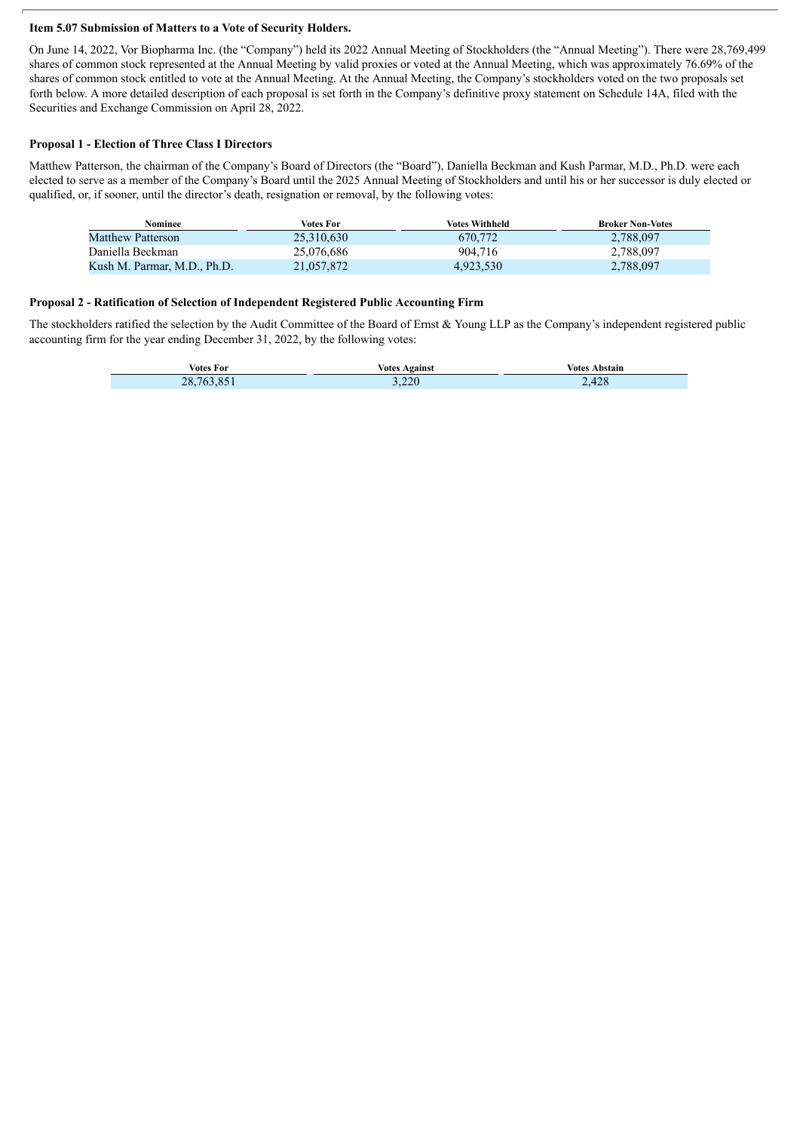#### **Item 5.07 Submission of Matters to a Vote of Security Holders.**

On June 14, 2022, Vor Biopharma Inc. (the "Company") held its 2022 Annual Meeting of Stockholders (the "Annual Meeting"). There were 28,769,499 shares of common stock represented at the Annual Meeting by valid proxies or voted at the Annual Meeting, which was approximately 76.69% of the shares of common stock entitled to vote at the Annual Meeting. At the Annual Meeting, the Company's stockholders voted on the two proposals set forth below. A more detailed description of each proposal is set forth in the Company's definitive proxy statement on Schedule 14A, filed with the Securities and Exchange Commission on April 28, 2022.

#### **Proposal 1 - Election of Three Class I Directors**

Г

Matthew Patterson, the chairman of the Company's Board of Directors (the "Board"), Daniella Beckman and Kush Parmar, M.D., Ph.D. were each elected to serve as a member of the Company's Board until the 2025 Annual Meeting of Stockholders and until his or her successor is duly elected or qualified, or, if sooner, until the director's death, resignation or removal, by the following votes:

| Nominee                     | Votes For  | <b>Votes Withheld</b> | <b>Broker Non-Votes</b> |
|-----------------------------|------------|-----------------------|-------------------------|
| <b>Matthew Patterson</b>    | 25.310.630 | 670,772               | 2,788,097               |
| Daniella Beckman            | 25.076.686 | 904.716               | 2,788,097               |
| Kush M. Parmar, M.D., Ph.D. | 21,057,872 | 4,923,530             | 2,788,097               |

#### **Proposal 2 - Ratification of Selection of Independent Registered Public Accounting Firm**

The stockholders ratified the selection by the Audit Committee of the Board of Ernst & Young LLP as the Company's independent registered public accounting firm for the year ending December 31, 2022, by the following votes:

|                          | Votes : | Votes   |  |
|--------------------------|---------|---------|--|
| <b>Votes For</b>         | Against | Abstain |  |
| <b>28.</b><br>$\sqrt{6}$ | 3.220   | 2.428   |  |